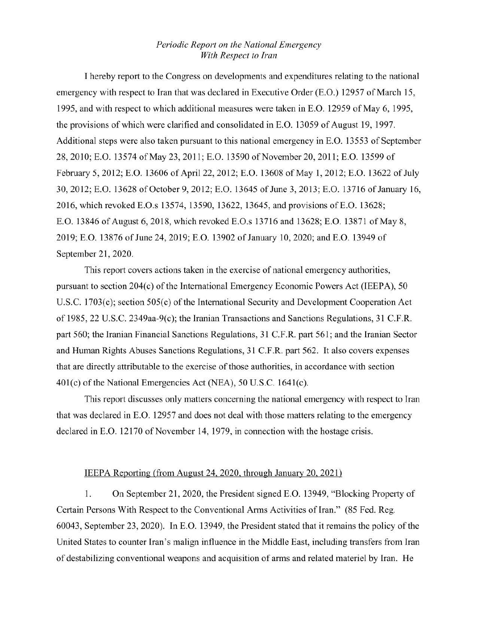## *Periodic Report on the National Emergency With Respect to Iran*

I hereby report to the Congress on developments and expenditmes relating to the national emergency with respect to Iran that was declared in Executive Order (E.O.) 12957 of March 15, 1995, and with respect to which additional measures were taken in E.O. 12959 of May 6, 1995, the provisions of which were clarified and consolidated in E.O. 13059 of August 19, 1997. Additional steps were also taken pursuant to this national emergency in E.O. 13553 of September 28, 2010; E.O. 13574 of May 23, 2011; E.O. 13590 of November 20, 2011; E.O. 13599 of February 5, 2012; E.O. 13606 of April22, 2012; E.O. 13608 of May 1, 2012; E.O. 13622 of July 30, 2012; E.O. 13628 of October 9, 2012; E.O. 13645 of June 3, 2013; E.O. 13716 of January 16, 2016, which revoked E.O.s 13574, 13590, 13622, 13645, and provisions ofE.O. 13628; E.O. 13846 of August 6, 2018, which revoked E.O.s 13716 and 13628; E.O. 13871 of May 8, 2019; E.O. 13876 of June 24, 2019; E.O. 13902 of January 10, 2020; and E.O. 13949 of September 21, 2020.

This report covers actions taken in the exercise of national emergency authorities, pursuant to section  $204(c)$  of the International Emergency Economic Powers Act (IEEPA), 50 U.S.C. 1703(c); section 505(c) of the International Security and Development Cooperation Act of 1985, 22 U.S.C. 2349aa-9(c); the Iranian Transactions and Sanctions Regulations, 31 C.F.R. part 560; the Iranian Financial Sanctions Regulations, 31 C.F.R. part 561; and the Iranian Sector and Human Rights Abuses Sanctions Regulations, 31 C.F.R. pati 562. It also covers expenses that are directly attributable to the exercise of those authorities, in accordance with section 401(c) of the National Emergencies Act (NEA), 50 U.S.C. 1641(c).

This report discusses only matters concerning the national emergency with respect to Iran that was declared in E.O. 12957 and does not deal with those matters relating to the emergency declared in E.O. 12170 of November 14, 1979, in connection with the hostage crisis.

## IEEPA Reporting (from August 24, 2020, through January 20, 2021)

1. On September 21, 2020, the President signed E.O. 13949, "Blocking Property of Certain Persons With Respect to the Conventional Arms Activities of Iran." (85 Fed. Reg. 60043, September 23, 2020). In E.O. 13949, the President stated that it remains the policy of the United States to counter Iran's malign influence in the Middle East, including transfers from Iran of destabilizing conventional weapons and acquisition of arms and related materiel by Iran. He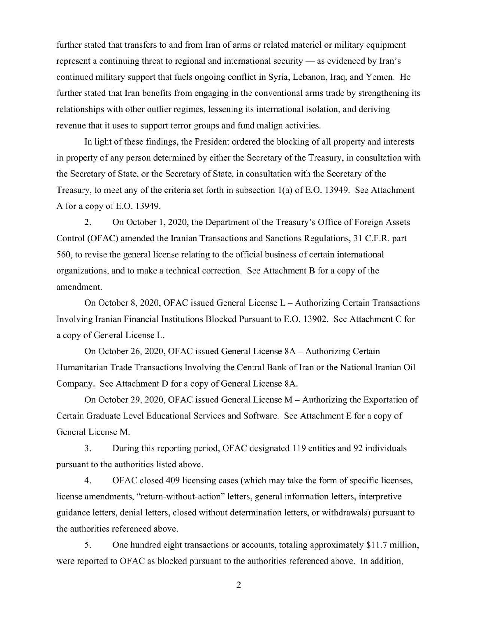further stated that transfers to and from Iran of arms or related materiel or military equipment represent a continuing threat to regional and international security — as evidenced by Iran's continued military support that fuels ongoing conflict in Syria, Lebanon, Iraq, and Yemen. He further stated that Iran benefits from engaging in the conventional arms trade by strengthening its relationships with other outlier regimes, lessening its international isolation, and deriving revenue that it uses to support terror groups and fund malign activities.

In light of these findings, the President ordered the blocking of all property and interests in property of any person determined by either the Secretary of the Treasury, in consultation with the Secretary of State, or the Secretary of State, in consultation with the Secretary of the Treasury, to meet any of the criteria set forth in subsection 1(a) of E.O. 13949. See Attachment A for a copy ofE.O. 13949.

2. On October 1, 2020, the Department of the Treasury's Office of Foreign Assets Control (OF AC) amended the Iranian Transactions and Sanctions Regulations, 31 C.F.R. part 560, to revise the general license relating to the official business of certain international organizations, and to make a technical correction. See Attachment B for a copy of the amendment.

On October 8, 2020, OF AC issued General License L- Authorizing Certain Transactions Involving Iranian Financial Institutions Blocked Pursuant to E.O. 13902. See Attachment C for a copy of General License L.

On October 26, 2020, OF AC issued General License 8A - Authorizing Cettain Humanitarian Trade Transactions Involving the Central Bank of Iran or the National Iranian Oil Company. See Attachment D for a copy of General License 8A.

On October 29, 2020, OFAC issued General License M- Authorizing the Exportation of Certain Graduate Level Educational Services and Software. See Attachment E for a copy of General License M.

3. During this reporting period, OF AC designated 119 entities and 92 individuals pursuant to the authorities listed above.

4. OF AC closed 409 licensing cases (which may take the form of specific licenses, license amendments, "return-without-action" letters, general information letters, interpretive guidance letters, denial letters, closed without determination letters, or withdrawals) pursuant to the authorities referenced above.

5. One hundred eight transactions or accounts, totaling approximately \$11.7 million, were reported to OFAC as blocked pursuant to the authorities referenced above. In addition,

2